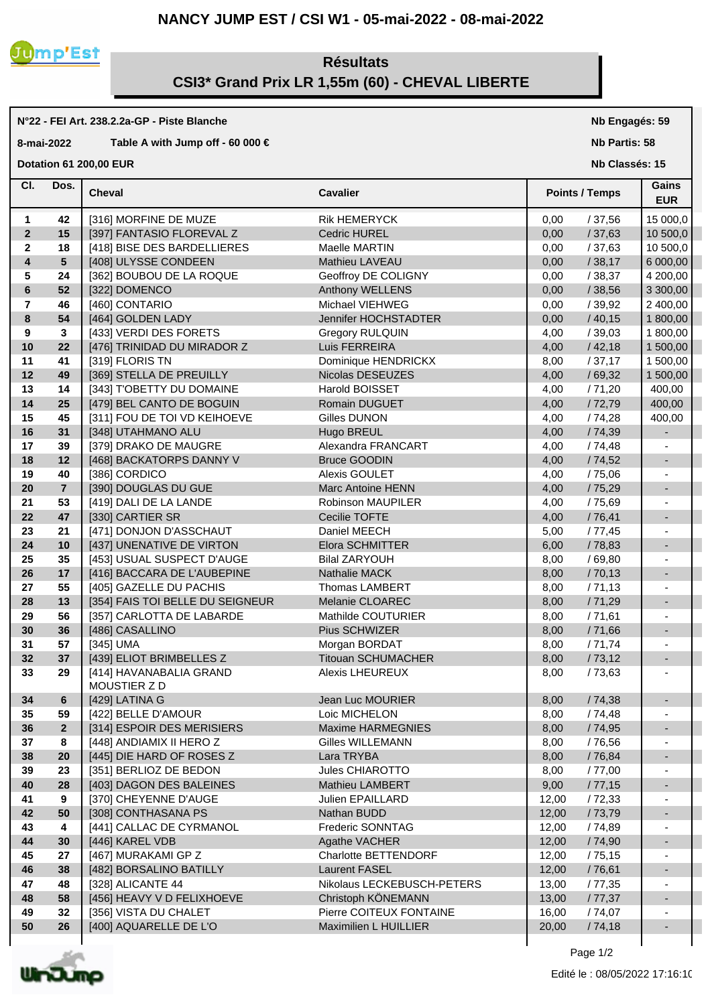## **NANCY JUMP EST / CSI W1 - 05-mai-2022 - 08-mai-2022**



**N°22 - FEI Art. 238.2.2a-GP - Piste Blanche**

**8-mai-2022 Table A with Jump off - 60 000 €**

## **Résultats CSI3\* Grand Prix LR 1,55m (60) - CHEVAL LIBERTE**

## **Cheval Cavalier Cl. Nb Classés: 15 Gains Points / Temps EUR Dotation 61 200,00 EUR**  Dos. Cheval 1 **42** | [316] MORFINE DE MUZE Rik HEMERYCK | 0,00 / 37,56 | 15 000,0 **2 15** | [397] FANTASIO FLOREVAL Z **Cedric HUREL** | 0,00 / 37,63 | 10 500,0 **2 18** [418] BISE DES BARDELLIERES Maelle MARTIN 0,00 / 37,63 10 500,0 **4 5** [408] ULYSSE CONDEEN Mathieu LAVEAU 0,00 / 38,17 6 000,00 **5 24** [362] BOUBOU DE LA ROQUE Geoffroy DE COLIGNY 0,00 / 38,37 4 200,00 **6 52**  $\begin{bmatrix} 322 \end{bmatrix}$  DOMENCO **Anthony WELLENS** 0,00 / 38,56 3 300,00 **7 46** [460] CONTARIO Michael VIEHWEG 0,00 / 39,92 2 400,00 **8 54** [464] GOLDEN LADY Jennifer HOCHSTADTER 0,00 / 40,15 1 800,00 **9 3** [433] VERDI DES FORETS Gregory RULQUIN 4,00 / 39,03 1 800,00 10 **22**  $[476]$  TRINIDAD DU MIRADOR Z Luis FERREIRA  $[400 \t 42.18]$  1 500,00 **11 41** | [319] FLORIS TN **Dominique HENDRICKX** | 8,00 / 37,17 | 1 500,00 **12 49** [369] STELLA DE PREUILLY Nicolas DESEUZES 4,00 / 69,32 1 500,00 **13 14** [343] T'OBETTY DU DOMAINE Harold BOISSET 4,00 / 71,20 400,00 **14 25** [479] BEL CANTO DE BOGUIN Romain DUGUET 4,00 / 72,79 400,00 **15 45**  $\begin{bmatrix} 311 \end{bmatrix}$  FOU DE TOI VD KEIHOEVE Gilles DUNON 4 400,00 **16 31** F[348] UTAHMANO ALU **Hugo BREUL Hugo BREUL Hugo BREUL** And the state of the state of the state of the state of the state of the state of the state of the state of the state of the state of the state of the state **17 39** [379] DRAKO DE MAUGRE Alexandra FRANCART 4,00 / 74,48 - **18 12** | [468] BACKATORPS DANNY V Bruce GOODIN | 4,00 / 74,52 | -**19 40** [386] CORDICO Alexis GOULET 4,00 / 75,06 - **20 7** [390] DOUGLAS DU GUE Marc Antoine HENN 4,00 / 75,29 - **21 53** | [419] DALI DE LA LANDE Robinson MAUPILER | 4,00 / 75,69 **22 47** | [330] CARTIER SR **Cecilie TOFTE** 4,00 / 76,41 **23 21**  $\begin{bmatrix} 471 \end{bmatrix}$  DONJON D'ASSCHAUT Daniel MEECH **5,00** / 77,45 **-24 10** F(437) UNENATIVE DE VIRTON Elora SCHMITTER TEXT RESERVED TO 18,83 **F** 1 **25 35** [453] USUAL SUSPECT D'AUGE Bilal ZARYOUH 8,00 / 69,80 - **26 17** [416] BACCARA DE L'AUBEPINE Nathalie MACK 8,00 / 70,13 - **27 55**  $[$  405] GAZELLE DU PACHIS Thomas LAMBERT 8,00 / 71,13  $\vert$  -**28 13** | [354] FAIS TOI BELLE DU SEIGNEUR Melanie CLOAREC | 8,00 / 71,29 **29 56**  $\begin{bmatrix} 357 \end{bmatrix}$  CARLOTTA DE LABARDE Mathilde COUTURIER  $\begin{bmatrix} 8,00 \end{bmatrix}$  / 71,61 **30 36** [486] CASALLINO Pius SCHWIZER 8,00 / 71,66 - **31 57** [345] UMA Morgan BORDAT 8,00 / 71,74 - **32 37** [439] ELIOT BRIMBELLES Z Titouan SCHUMACHER 8,00 / 73,12 - **33** [414] HAVANABALIA GRAND Alexis LHEUREUX **29** 8,00 / 73,63 - MOUSTIER Z D **34 6** [429] LATINA G Jean Luc MOURIER 8,00 / 74,38 - **35 59** [422] BELLE D'AMOUR Loic MICHELON 8,00 / 74,48 - **36 2** [314] ESPOIR DES MERISIERS Maxime HARMEGNIES 8,00 / 74,95 - **37 8** [448] ANDIAMIX II HERO Z Gilles WILLEMANN 8,00 / 76,56 - **38 20** [445] DIE HARD OF ROSES Z Lara TRYBA 8,00 / 76,84 - **39 23** [351] BERLIOZ DE BEDON Jules CHIAROTTO 8,00 / 77,00 - **40 28** | [403] DAGON DES BALEINES Mathieu LAMBERT | 9,00 / 77,15 **41 9** [370] CHEYENNE D'AUGE Julien EPAILLARD [ 12,00 / 72,33 | -**42 50** | [308] CONTHASANA PS Nathan BUDD | 12,00 / 73,79 | -**43 4** [441] CALLAC DE CYRMANOL Frederic SONNTAG 12,00 / 74,89 - **44 30** [446] KAREL VDB Agathe VACHER 12,00 / 74,90 - **45 27** [467] MURAKAMI GP Z Charlotte BETTENDORF 12,00 / 75,15 - **46 38** [482] BORSALINO BATILLY Laurent FASEL 12,00 / 76,61 - **47 48**  $\begin{bmatrix} 328 \end{bmatrix}$  ALICANTE 44 Nikolaus LECKEBUSCH-PETERS | 13,00 / 77,35 **48 58** [456] HEAVY V D FELIXHOEVE Christoph KÖNEMANN 13,00 / 77,37 - **49 32** [356] VISTA DU CHALET Pierre COITEUX FONTAINE 16,00 / 74,07 - **50 26** | [400] AQUARELLE DE L'O Maximilien L HUILLIER | 20,00 / 74,18



Page  $1/2$ 

**Nb Engagés: 59 Nb Partis: 58**